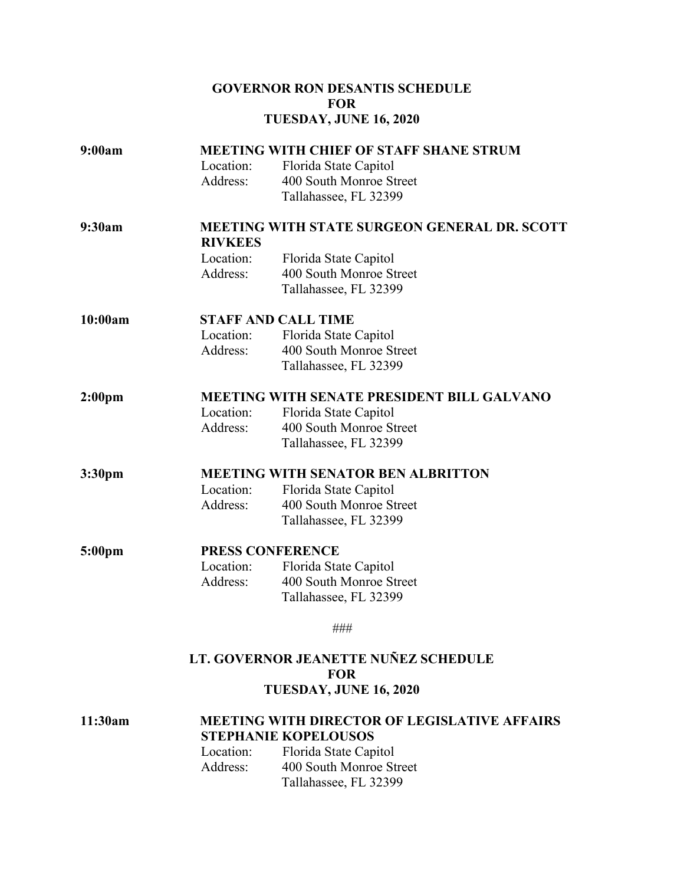## **GOVERNOR RON DESANTIS SCHEDULE FOR TUESDAY, JUNE 16, 2020**

| 9:00am             | <b>MEETING WITH CHIEF OF STAFF SHANE STRUM</b><br>Location:<br>Florida State Capitol |                                                                           |  |
|--------------------|--------------------------------------------------------------------------------------|---------------------------------------------------------------------------|--|
|                    | Address:                                                                             | 400 South Monroe Street<br>Tallahassee, FL 32399                          |  |
| 9:30am             | <b>MEETING WITH STATE SURGEON GENERAL DR. SCOTT</b><br><b>RIVKEES</b>                |                                                                           |  |
|                    | Location:<br>Address:                                                                | Florida State Capitol<br>400 South Monroe Street<br>Tallahassee, FL 32399 |  |
| 10:00am            | <b>STAFF AND CALL TIME</b>                                                           |                                                                           |  |
|                    | Location:<br>Address:                                                                | Florida State Capitol<br>400 South Monroe Street<br>Tallahassee, FL 32399 |  |
| 2:00 <sub>pm</sub> | MEETING WITH SENATE PRESIDENT BILL GALVANO                                           |                                                                           |  |
|                    | Location:                                                                            | Florida State Capitol                                                     |  |
|                    | Address:                                                                             | 400 South Monroe Street<br>Tallahassee, FL 32399                          |  |
| 3:30 <sub>pm</sub> | <b>MEETING WITH SENATOR BEN ALBRITTON</b>                                            |                                                                           |  |
|                    | Location:                                                                            | Florida State Capitol                                                     |  |
|                    | Address:                                                                             | 400 South Monroe Street<br>Tallahassee, FL 32399                          |  |
| 5:00 <sub>pm</sub> | PRESS CONFERENCE                                                                     |                                                                           |  |
|                    | Location:                                                                            | Florida State Capitol                                                     |  |
|                    | Address:                                                                             | 400 South Monroe Street<br>Tallahassee, FL 32399                          |  |
|                    |                                                                                      | ###                                                                       |  |
|                    | LT. GOVERNOR JEANETTE NUÑEZ SCHEDULE                                                 |                                                                           |  |
|                    |                                                                                      | <b>FOR</b><br>TUESDAY, JUNE 16, 2020                                      |  |
|                    |                                                                                      |                                                                           |  |
| 11:30am            | <b>MEETING WITH DIRECTOR OF LEGISLATIVE AFFAIRS</b><br><b>STEPHANIE KOPELOUSOS</b>   |                                                                           |  |
|                    | Location:                                                                            | Florida State Capitol                                                     |  |

Address: 400 South Monroe Street

Tallahassee, FL 32399